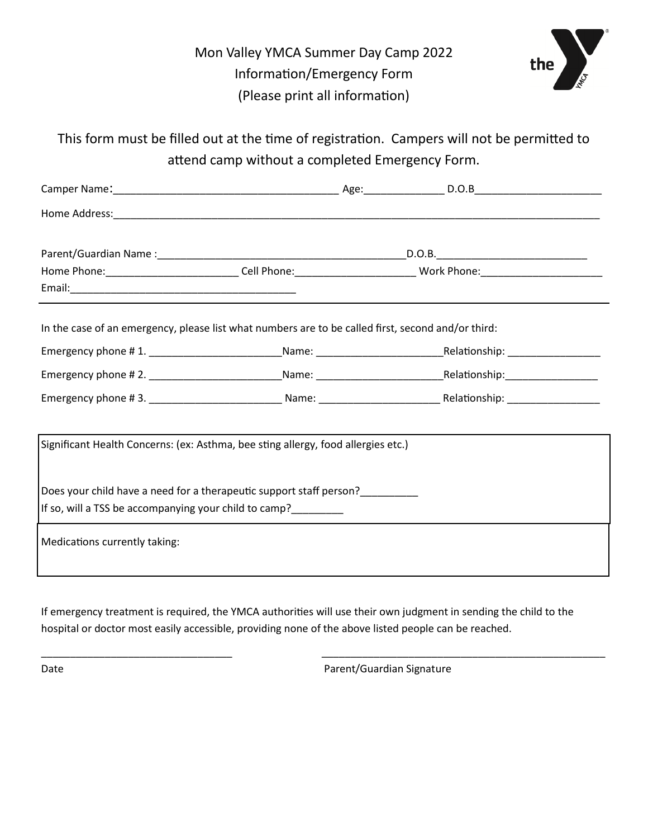Mon Valley YMCA Summer Day Camp 2022 Information/Emergency Form (Please print all information)



This form must be filled out at the time of registration. Campers will not be permitted to attend camp without a completed Emergency Form.

| Home Phone:_____________________________Cell Phone:_____________________________Work Phone:___________________                                                                                                      |  | D.O.B. |  |  |
|---------------------------------------------------------------------------------------------------------------------------------------------------------------------------------------------------------------------|--|--------|--|--|
| In the case of an emergency, please list what numbers are to be called first, second and/or third:                                                                                                                  |  |        |  |  |
|                                                                                                                                                                                                                     |  |        |  |  |
|                                                                                                                                                                                                                     |  |        |  |  |
|                                                                                                                                                                                                                     |  |        |  |  |
|                                                                                                                                                                                                                     |  |        |  |  |
| Significant Health Concerns: (ex: Asthma, bee sting allergy, food allergies etc.)                                                                                                                                   |  |        |  |  |
| Does your child have a need for a therapeutic support staff person?<br><u>Does your child have a need for a therapeutic support staff person?</u><br>If so, will a TSS be accompanying your child to camp?_________ |  |        |  |  |
| Medications currently taking:                                                                                                                                                                                       |  |        |  |  |

If emergency treatment is required, the YMCA authorities will use their own judgment in sending the child to the hospital or doctor most easily accessible, providing none of the above listed people can be reached.

\_\_\_\_\_\_\_\_\_\_\_\_\_\_\_\_\_\_\_\_\_\_\_\_\_\_\_\_\_\_\_\_\_ \_\_\_\_\_\_\_\_\_\_\_\_\_\_\_\_\_\_\_\_\_\_\_\_\_\_\_\_\_\_\_\_\_\_\_\_\_\_\_\_\_\_\_\_\_\_\_\_\_

Date **Parent/Guardian Signature** Parent/Guardian Signature